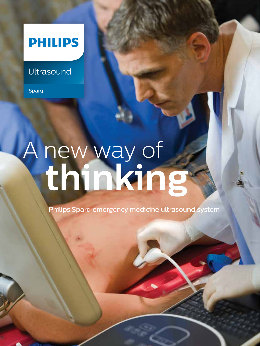# **PHILIPS**

# **Ultrasound**

Sparq

# A new way of **thinking**

Philips Sparq emergency medicine ultrasound system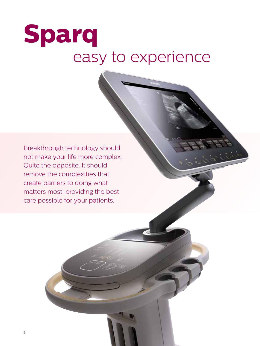# **Sparq**  easy to experience

Breakthrough technology should not make your life more complex. Quite the opposite. It should remove the complexities that create barriers to doing what matters most: providing the best care possible for your patients.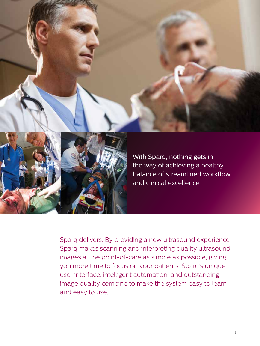



With Sparq, nothing gets in the way of achieving a healthy balance of streamlined workflow and clinical excellence.

Sparq delivers. By providing a new ultrasound experience, Sparq makes scanning and interpreting quality ultrasound images at the point-of-care as simple as possible, giving you more time to focus on your patients. Sparq's unique user interface, intelligent automation, and outstanding image quality combine to make the system easy to learn and easy to use.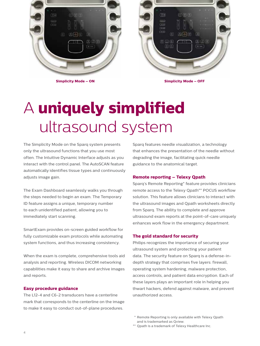

**Simplicity Mode – ON Simplicity Mode – OFF**

# A **uniquely simplified** ultrasound system

The Simplicity Mode on the Sparq system presents only the ultrasound functions that you use most often. The Intuitive Dynamic Interface adjusts as you interact with the control panel. The AutoSCAN feature automatically identifies tissue types and continuously adjusts image gain.

The Exam Dashboard seamlessly walks you through the steps needed to begin an exam. The Temporary ID feature assigns a unique, temporary number to each unidentified patient, allowing you to immediately start scanning.

SmartExam provides on-screen guided workflow for fully customizable exam protocols while automating system functions, and thus increasing consistency.

When the exam is complete, comprehensive tools aid analysis and reporting. Wireless DICOM networking capabilities make it easy to share and archive images and reports.

### **Easy procedure guidance**

The L12-4 and C6-2 transducers have a centerline mark that corresponds to the centerline on the image to make it easy to conduct out-of-plane procedures.

Sparq features needle visualization, a technology that enhances the presentation of the needle without degrading the image, facilitating quick needle guidance to the anatomical target.

### **Remote reporting – Telexy Qpath**

Sparq's Remote Reporting\* feature provides clinicians remote access to the Telexy Qpath\*\* POCUS workflow solution. This feature allows clinicians to interact with the ultrasound images and Qpath worksheets directly from Sparq. The ability to complete and approve ultrasound exam reports at the point-of-care uniquely enhances work flow in the emergency department.

### **The gold standard for security**

Philips recognizes the importance of securing your ultrasound system and protecting your patient data. The security feature on Sparq is a defense-indepth strategy that comprises five layers: firewall, operating system hardening, malware protection, access controls, and patient data encryption. Each of these layers plays an important role in helping you thwart hackers, defend against malware, and prevent unauthorized access.

<sup>\*</sup> Remote Reporting is only available with Telexy Qpath and is trademarked as Qview.

<sup>\*\*</sup> Qpath is a trademark of Telexy Healthcare Inc.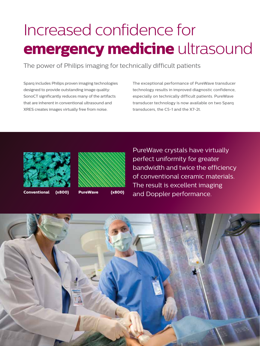# Increased confidence for **emergency medicine** ultrasound

The power of Philips imaging for technically difficult patients

Sparq includes Philips proven imaging technologies designed to provide outstanding image quality: SonoCT significantly reduces many of the artifacts that are inherent in conventional ultrasound and XRES creates images virtually free from noise.

The exceptional performance of PureWave transducer technology results in improved diagnostic confidence, especially on technically difficult patients. PureWave transducer technology is now available on two Sparq transducers, the C5-1 and the X7-2t.



**Conventional (x800) PureWave (x800)**



PureWave crystals have virtually perfect uniformity for greater bandwidth and twice the efficiency of conventional ceramic materials. The result is excellent imaging and Doppler performance.

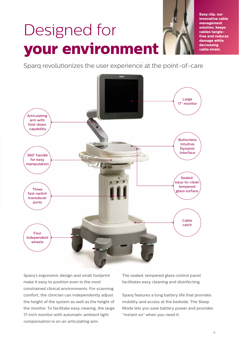# Designed for **your environment**

**Easy clip, our innovative cable management solution, keeps cables tanglefree and reduces damage while decreasing cable strain.**

Sparq revolutionizes the user experience at the point-of-care



Sparq's ergonomic design and small footprint make it easy to position even in the most constrained clinical environments. For scanning comfort, the clinician can independently adjust the height of the system as well as the height of the monitor. To facilitate easy viewing, the large 17-inch monitor with automatic ambient light compensation is on an articulating arm.

The sealed, tempered glass control panel facilitates easy cleaning and disinfecting.

Sparq features a long battery life that provides mobility and access at the bedside. The Sleep Mode lets you save battery power and provides "instant on" when you need it.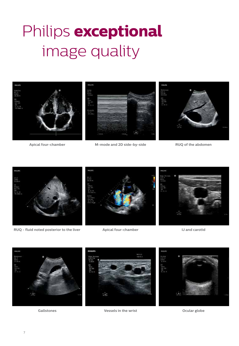# Philips **exceptional** image quality



**Apical four-chamber**

**M-mode and 2D side-by-side RUQ of the abdomen**



**RUQ - fluid noted posterior to the liver Apical four-chamber IJ and carotid**







**Vessels in the wrist Gallstones Ocular globe**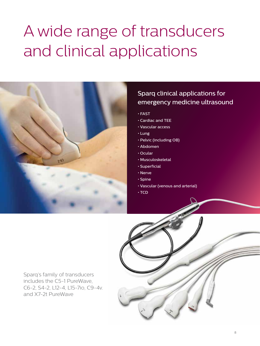# A wide range of transducers and clinical applications



# Sparq clinical applications for emergency medicine ultrasound

- FAST
- Cardiac and TEE
- Vascular access
- Lung
- Pelvic (including OB)
- Abdomen
- Ocular
- Musculoskeletal
- Superficial
- Nerve
- Spine
- Vascular (venous and arterial)
- TCD

Sparq's family of transducers includes the C5-1 PureWave, C6-2, S4-2, L12-4, L15-7io, C9-4v. and X7-2t PureWave

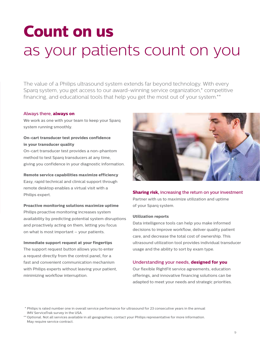# **Count on us** as your patients count on you

The value of a Philips ultrasound system extends far beyond technology. With every Sparq system, you get access to our award-winning service organization,\* competitive financing, and educational tools that help you get the most out of your system.\*\*

### Always there, **always on**

We work as one with your team to keep your Sparq system running smoothly.

## **On-cart transducer test provides confidence in your transducer quality**

On-cart transducer test provides a non-phantom method to test Sparq transducers at any time, giving you confidence in your diagnostic information.

### **Remote service capabilities maximize efficiency**

Easy, rapid technical and clinical support through remote desktop enables a virtual visit with a Philips expert.

### **Proactive monitoring solutions maximize uptime**

Philips proactive monitoring increases system availability by predicting potential system disruptions and proactively acting on them, letting you focus on what is most important – your patients.

### **Immediate support request at your fingertips**

The support request button allows you to enter a request directly from the control panel, for a fast and convenient communication mechanism with Philips experts without leaving your patient, minimizing workflow interruption.



### **Sharing risk, increasing the return on your investment**

Partner with us to maximize utilization and uptime of your Sparq system.

### **Utilization reports**

Data intelligence tools can help you make informed decisions to improve workflow, deliver quality patient care, and decrease the total cost of ownership. This ultrasound utilization tool provides individual transducer usage and the ability to sort by exam type.

### Understanding your needs, **designed for you**

Our flexible RightFit service agreements, education offerings, and innovative financing solutions can be adapted to meet your needs and strategic priorities.

<sup>\*</sup> Philips is rated number one in overall service performance for ultrasound for 23 consecutive years in the annual IMV ServiceTrak survey in the USA.

<sup>\*\*</sup> Optional. Not all services available in all geographies; contact your Philips representative for more information. May require service contract.